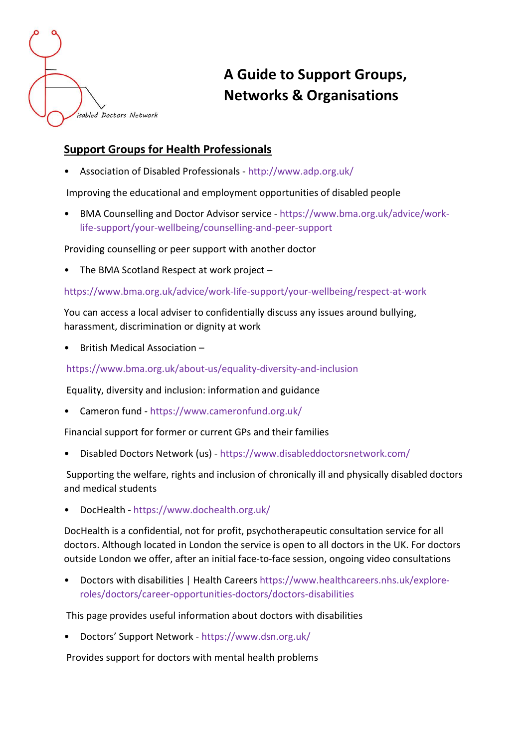

# A Guide to Support Groups, Networks & Organisations

# Support Groups for Health Professionals

• Association of Disabled Professionals - http://www.adp.org.uk/

Improving the educational and employment opportunities of disabled people

• BMA Counselling and Doctor Advisor service - https://www.bma.org.uk/advice/worklife-support/your-wellbeing/counselling-and-peer-support

Providing counselling or peer support with another doctor

• The BMA Scotland Respect at work project –

https://www.bma.org.uk/advice/work-life-support/your-wellbeing/respect-at-work

You can access a local adviser to confidentially discuss any issues around bullying, harassment, discrimination or dignity at work

• British Medical Association –

https://www.bma.org.uk/about-us/equality-diversity-and-inclusion

Equality, diversity and inclusion: information and guidance

• Cameron fund - https://www.cameronfund.org.uk/

Financial support for former or current GPs and their families

• Disabled Doctors Network (us) - https://www.disableddoctorsnetwork.com/

 Supporting the welfare, rights and inclusion of chronically ill and physically disabled doctors and medical students

• DocHealth - https://www.dochealth.org.uk/

DocHealth is a confidential, not for profit, psychotherapeutic consultation service for all doctors. Although located in London the service is open to all doctors in the UK. For doctors outside London we offer, after an initial face-to-face session, ongoing video consultations

• Doctors with disabilities | Health Careers https://www.healthcareers.nhs.uk/exploreroles/doctors/career-opportunities-doctors/doctors-disabilities

This page provides useful information about doctors with disabilities

• Doctors' Support Network - https://www.dsn.org.uk/

Provides support for doctors with mental health problems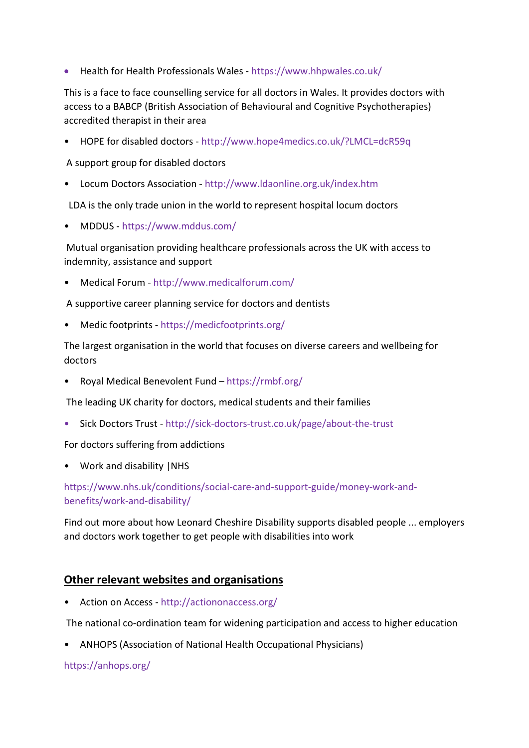Health for Health Professionals Wales - https://www.hhpwales.co.uk/

This is a face to face counselling service for all doctors in Wales. It provides doctors with access to a BABCP (British Association of Behavioural and Cognitive Psychotherapies) accredited therapist in their area

• HOPE for disabled doctors - http://www.hope4medics.co.uk/?LMCL=dcR59q

A support group for disabled doctors

• Locum Doctors Association - http://www.ldaonline.org.uk/index.htm

LDA is the only trade union in the world to represent hospital locum doctors

• MDDUS - https://www.mddus.com/

 Mutual organisation providing healthcare professionals across the UK with access to indemnity, assistance and support

• Medical Forum - http://www.medicalforum.com/

A supportive career planning service for doctors and dentists

• Medic footprints - https://medicfootprints.org/

The largest organisation in the world that focuses on diverse careers and wellbeing for doctors

• Royal Medical Benevolent Fund – https://rmbf.org/

The leading UK charity for doctors, medical students and their families

• Sick Doctors Trust - http://sick-doctors-trust.co.uk/page/about-the-trust

For doctors suffering from addictions

• Work and disability |NHS

#### https://www.nhs.uk/conditions/social-care-and-support-guide/money-work-andbenefits/work-and-disability/

Find out more about how Leonard Cheshire Disability supports disabled people ... employers and doctors work together to get people with disabilities into work

# Other relevant websites and organisations

• Action on Access - http://actiononaccess.org/

The national co-ordination team for widening participation and access to higher education

• ANHOPS (Association of National Health Occupational Physicians)

#### https://anhops.org/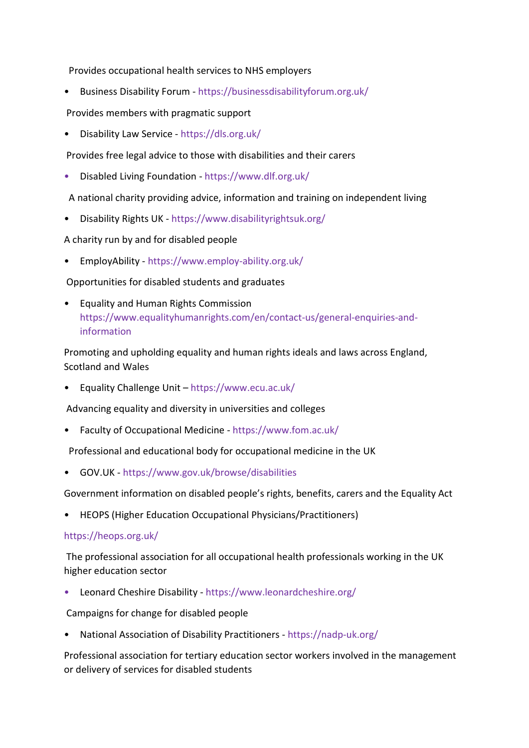Provides occupational health services to NHS employers

• Business Disability Forum - https://businessdisabilityforum.org.uk/

Provides members with pragmatic support

• Disability Law Service - https://dls.org.uk/

Provides free legal advice to those with disabilities and their carers

• Disabled Living Foundation - https://www.dlf.org.uk/

A national charity providing advice, information and training on independent living

• Disability Rights UK - https://www.disabilityrightsuk.org/

A charity run by and for disabled people

• EmployAbility - https://www.employ-ability.org.uk/

Opportunities for disabled students and graduates

• Equality and Human Rights Commission https://www.equalityhumanrights.com/en/contact-us/general-enquiries-andinformation

Promoting and upholding equality and human rights ideals and laws across England, Scotland and Wales

• Equality Challenge Unit – https://www.ecu.ac.uk/

Advancing equality and diversity in universities and colleges

• Faculty of Occupational Medicine - https://www.fom.ac.uk/

Professional and educational body for occupational medicine in the UK

• GOV.UK - https://www.gov.uk/browse/disabilities

Government information on disabled people's rights, benefits, carers and the Equality Act

• HEOPS (Higher Education Occupational Physicians/Practitioners)

#### https://heops.org.uk/

 The professional association for all occupational health professionals working in the UK higher education sector

• Leonard Cheshire Disability - https://www.leonardcheshire.org/

Campaigns for change for disabled people

• National Association of Disability Practitioners - https://nadp-uk.org/

Professional association for tertiary education sector workers involved in the management or delivery of services for disabled students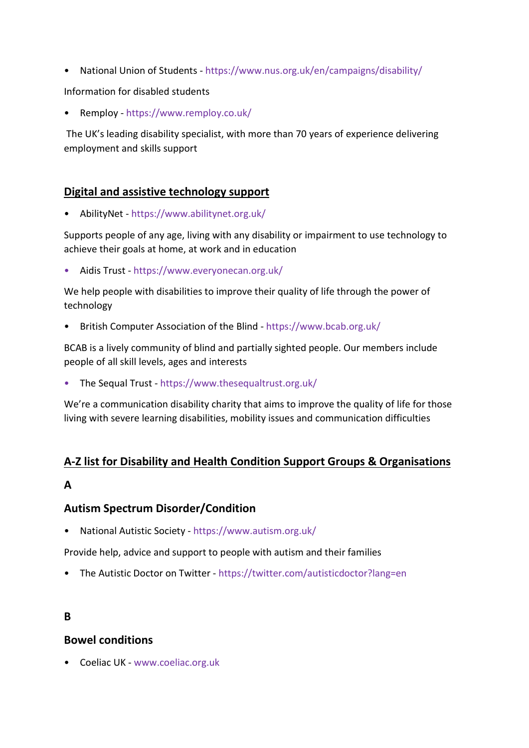• National Union of Students - https://www.nus.org.uk/en/campaigns/disability/

Information for disabled students

• Remploy - https://www.remploy.co.uk/

 The UK's leading disability specialist, with more than 70 years of experience delivering employment and skills support

# Digital and assistive technology support

• AbilityNet - https://www.abilitynet.org.uk/

Supports people of any age, living with any disability or impairment to use technology to achieve their goals at home, at work and in education

• Aidis Trust - https://www.everyonecan.org.uk/

We help people with disabilities to improve their quality of life through the power of technology

• British Computer Association of the Blind - https://www.bcab.org.uk/

BCAB is a lively community of blind and partially sighted people. Our members include people of all skill levels, ages and interests

• The Sequal Trust - https://www.thesequaltrust.org.uk/

We're a communication disability charity that aims to improve the quality of life for those living with severe learning disabilities, mobility issues and communication difficulties

# A-Z list for Disability and Health Condition Support Groups & Organisations

# A

# Autism Spectrum Disorder/Condition

• National Autistic Society - https://www.autism.org.uk/

Provide help, advice and support to people with autism and their families

• The Autistic Doctor on Twitter - https://twitter.com/autisticdoctor?lang=en

# B

# Bowel conditions

• Coeliac UK - www.coeliac.org.uk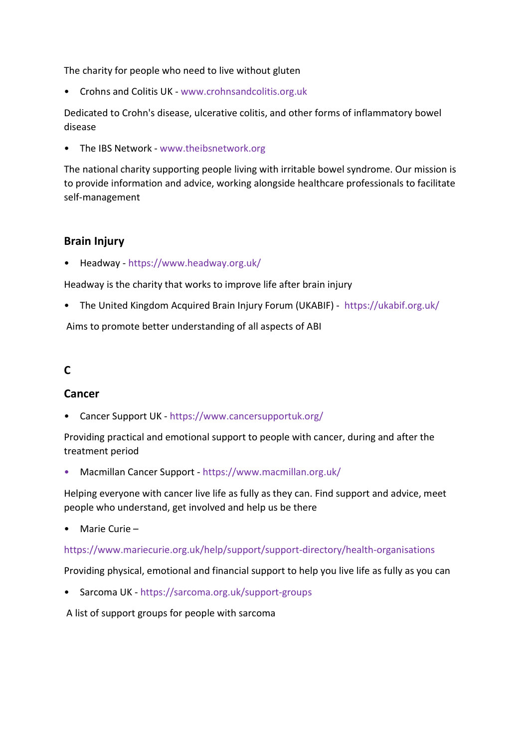The charity for people who need to live without gluten

• Crohns and Colitis UK - www.crohnsandcolitis.org.uk

Dedicated to Crohn's disease, ulcerative colitis, and other forms of inflammatory bowel disease

• The IBS Network - www.theibsnetwork.org

The national charity supporting people living with irritable bowel syndrome. Our mission is to provide information and advice, working alongside healthcare professionals to facilitate self-management

# Brain Injury

• Headway - https://www.headway.org.uk/

Headway is the charity that works to improve life after brain injury

• The United Kingdom Acquired Brain Injury Forum (UKABIF) - https://ukabif.org.uk/

Aims to promote better understanding of all aspects of ABI

# C

#### Cancer

• Cancer Support UK - https://www.cancersupportuk.org/

Providing practical and emotional support to people with cancer, during and after the treatment period

• Macmillan Cancer Support - https://www.macmillan.org.uk/

Helping everyone with cancer live life as fully as they can. Find support and advice, meet people who understand, get involved and help us be there

• Marie Curie –

#### https://www.mariecurie.org.uk/help/support/support-directory/health-organisations

Providing physical, emotional and financial support to help you live life as fully as you can

• Sarcoma UK - https://sarcoma.org.uk/support-groups

A list of support groups for people with sarcoma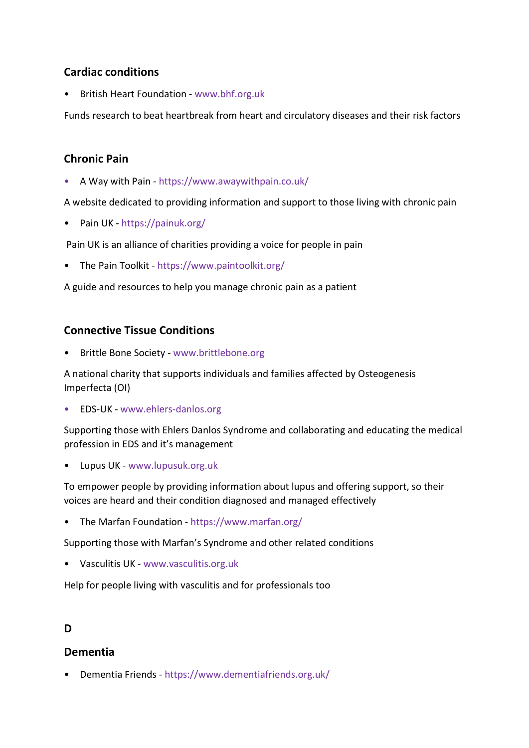# Cardiac conditions

• British Heart Foundation - www.bhf.org.uk

Funds research to beat heartbreak from heart and circulatory diseases and their risk factors

# Chronic Pain

• A Way with Pain - https://www.awaywithpain.co.uk/

A website dedicated to providing information and support to those living with chronic pain

• Pain UK - https://painuk.org/

Pain UK is an alliance of charities providing a voice for people in pain

• The Pain Toolkit - https://www.paintoolkit.org/

A guide and resources to help you manage chronic pain as a patient

# Connective Tissue Conditions

• Brittle Bone Society - www.brittlebone.org

A national charity that supports individuals and families affected by Osteogenesis Imperfecta (OI)

• EDS-UK - www.ehlers-danlos.org

Supporting those with Ehlers Danlos Syndrome and collaborating and educating the medical profession in EDS and it's management

• Lupus UK - www.lupusuk.org.uk

To empower people by providing information about lupus and offering support, so their voices are heard and their condition diagnosed and managed effectively

• The Marfan Foundation - https://www.marfan.org/

Supporting those with Marfan's Syndrome and other related conditions

• Vasculitis UK - www.vasculitis.org.uk

Help for people living with vasculitis and for professionals too

# D

# Dementia

• Dementia Friends - https://www.dementiafriends.org.uk/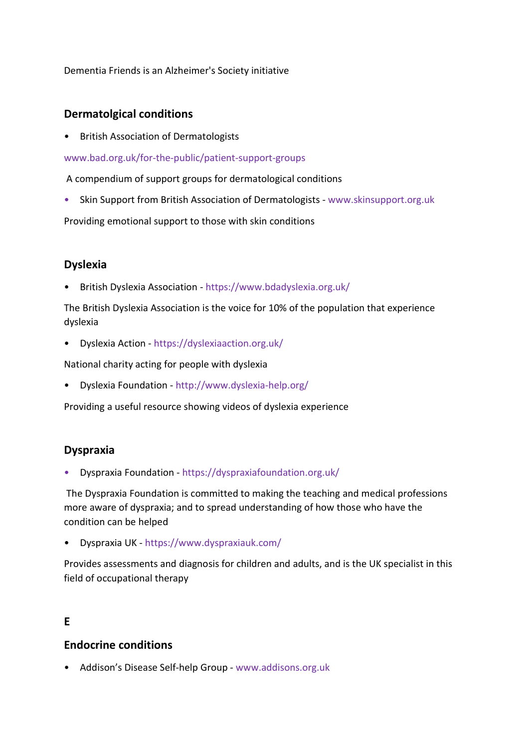Dementia Friends is an Alzheimer's Society initiative

#### Dermatolgical conditions

• British Association of Dermatologists

www.bad.org.uk/for-the-public/patient-support-groups

A compendium of support groups for dermatological conditions

• Skin Support from British Association of Dermatologists - www.skinsupport.org.uk

Providing emotional support to those with skin conditions

# Dyslexia

• British Dyslexia Association - https://www.bdadyslexia.org.uk/

The British Dyslexia Association is the voice for 10% of the population that experience dyslexia

• Dyslexia Action - https://dyslexiaaction.org.uk/

National charity acting for people with dyslexia

• Dyslexia Foundation - http://www.dyslexia-help.org/

Providing a useful resource showing videos of dyslexia experience

# Dyspraxia

• Dyspraxia Foundation - https://dyspraxiafoundation.org.uk/

 The Dyspraxia Foundation is committed to making the teaching and medical professions more aware of dyspraxia; and to spread understanding of how those who have the condition can be helped

• Dyspraxia UK - https://www.dyspraxiauk.com/

Provides assessments and diagnosis for children and adults, and is the UK specialist in this field of occupational therapy

# E

# Endocrine conditions

• Addison's Disease Self-help Group - www.addisons.org.uk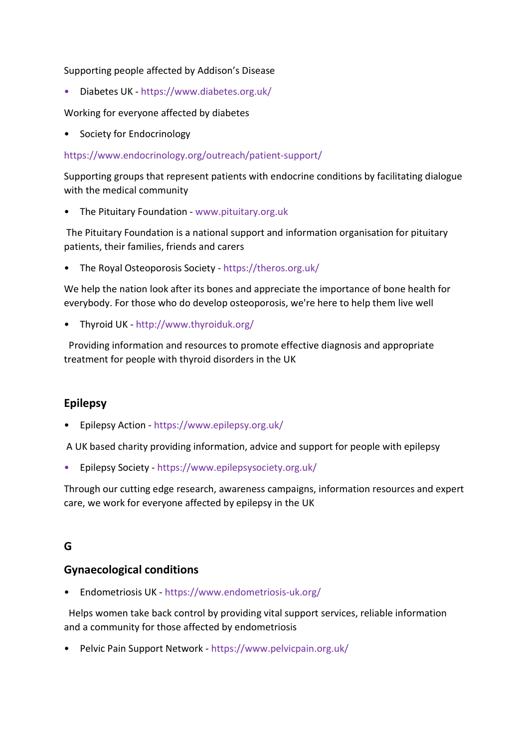Supporting people affected by Addison's Disease

• Diabetes UK - https://www.diabetes.org.uk/

Working for everyone affected by diabetes

• Society for Endocrinology

#### https://www.endocrinology.org/outreach/patient-support/

Supporting groups that represent patients with endocrine conditions by facilitating dialogue with the medical community

• The Pituitary Foundation - www.pituitary.org.uk

 The Pituitary Foundation is a national support and information organisation for pituitary patients, their families, friends and carers

• The Royal Osteoporosis Society - https://theros.org.uk/

We help the nation look after its bones and appreciate the importance of bone health for everybody. For those who do develop osteoporosis, we're here to help them live well

• Thyroid UK - http://www.thyroiduk.org/

 Providing information and resources to promote effective diagnosis and appropriate treatment for people with thyroid disorders in the UK

# Epilepsy

• Epilepsy Action - https://www.epilepsy.org.uk/

A UK based charity providing information, advice and support for people with epilepsy

• Epilepsy Society - https://www.epilepsysociety.org.uk/

Through our cutting edge research, awareness campaigns, information resources and expert care, we work for everyone affected by epilepsy in the UK

# G

# Gynaecological conditions

• Endometriosis UK - https://www.endometriosis-uk.org/

 Helps women take back control by providing vital support services, reliable information and a community for those affected by endometriosis

• Pelvic Pain Support Network - https://www.pelvicpain.org.uk/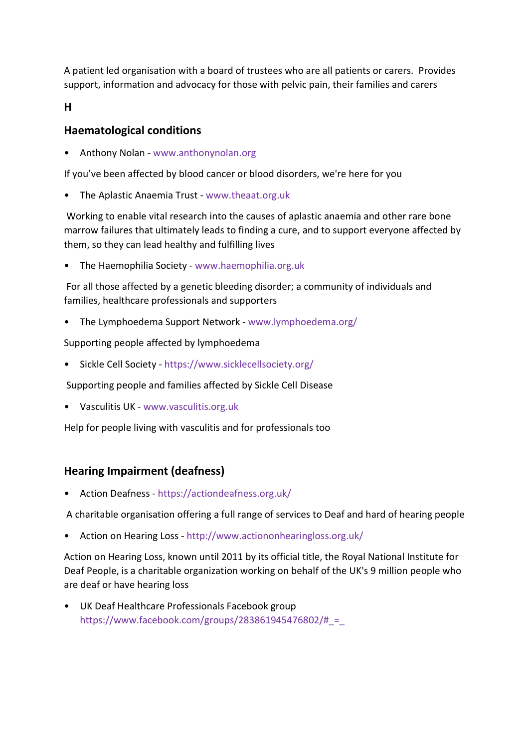A patient led organisation with a board of trustees who are all patients or carers. Provides support, information and advocacy for those with pelvic pain, their families and carers

H

# Haematological conditions

• Anthony Nolan - www.anthonynolan.org

If you've been affected by blood cancer or blood disorders, we're here for you

• The Aplastic Anaemia Trust - www.theaat.org.uk

 Working to enable vital research into the causes of aplastic anaemia and other rare bone marrow failures that ultimately leads to finding a cure, and to support everyone affected by them, so they can lead healthy and fulfilling lives

• The Haemophilia Society - www.haemophilia.org.uk

 For all those affected by a genetic bleeding disorder; a community of individuals and families, healthcare professionals and supporters

• The Lymphoedema Support Network - www.lymphoedema.org/

Supporting people affected by lymphoedema

• Sickle Cell Society - https://www.sicklecellsociety.org/

Supporting people and families affected by Sickle Cell Disease

• Vasculitis UK - www.vasculitis.org.uk

Help for people living with vasculitis and for professionals too

# Hearing Impairment (deafness)

• Action Deafness - https://actiondeafness.org.uk/

A charitable organisation offering a full range of services to Deaf and hard of hearing people

• Action on Hearing Loss - http://www.actiononhearingloss.org.uk/

Action on Hearing Loss, known until 2011 by its official title, the Royal National Institute for Deaf People, is a charitable organization working on behalf of the UK's 9 million people who are deaf or have hearing loss

• UK Deaf Healthcare Professionals Facebook group https://www.facebook.com/groups/283861945476802/# $=$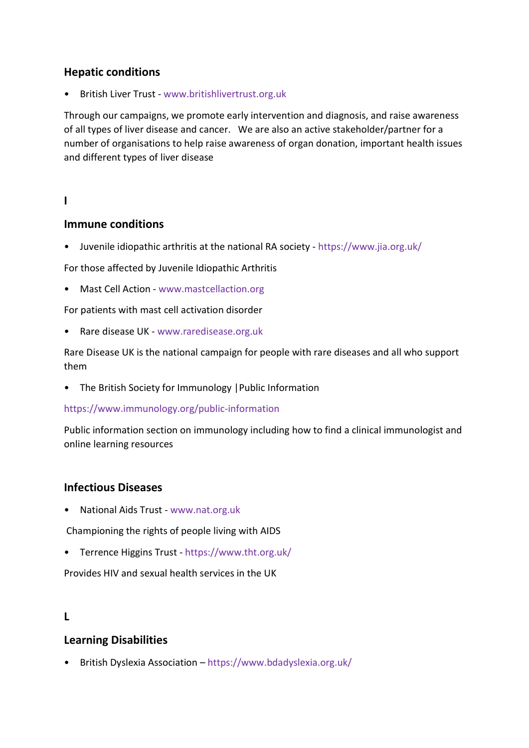# Hepatic conditions

• British Liver Trust - www.britishlivertrust.org.uk

Through our campaigns, we promote early intervention and diagnosis, and raise awareness of all types of liver disease and cancer. We are also an active stakeholder/partner for a number of organisations to help raise awareness of organ donation, important health issues and different types of liver disease

#### I

#### Immune conditions

• Juvenile idiopathic arthritis at the national RA society - https://www.jia.org.uk/

For those affected by Juvenile Idiopathic Arthritis

• Mast Cell Action - www.mastcellaction.org

For patients with mast cell activation disorder

• Rare disease UK - www.raredisease.org.uk

Rare Disease UK is the national campaign for people with rare diseases and all who support them

• The British Society for Immunology |Public Information

#### https://www.immunology.org/public-information

Public information section on immunology including how to find a clinical immunologist and online learning resources

# Infectious Diseases

• National Aids Trust - www.nat.org.uk

Championing the rights of people living with AIDS

• Terrence Higgins Trust - https://www.tht.org.uk/

Provides HIV and sexual health services in the UK

# L

# Learning Disabilities

• British Dyslexia Association – https://www.bdadyslexia.org.uk/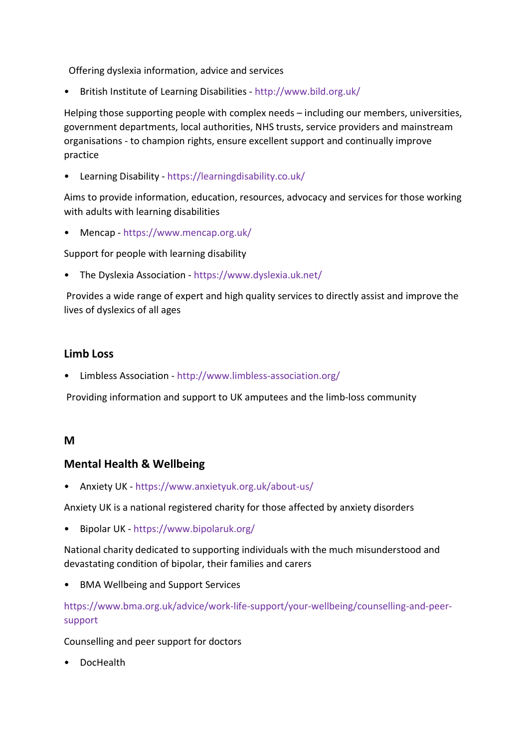Offering dyslexia information, advice and services

• British Institute of Learning Disabilities - http://www.bild.org.uk/

Helping those supporting people with complex needs – including our members, universities, government departments, local authorities, NHS trusts, service providers and mainstream organisations - to champion rights, ensure excellent support and continually improve practice

• Learning Disability - https://learningdisability.co.uk/

Aims to provide information, education, resources, advocacy and services for those working with adults with learning disabilities

• Mencap - https://www.mencap.org.uk/

Support for people with learning disability

• The Dyslexia Association - https://www.dyslexia.uk.net/

 Provides a wide range of expert and high quality services to directly assist and improve the lives of dyslexics of all ages

#### Limb Loss

• Limbless Association - http://www.limbless-association.org/

Providing information and support to UK amputees and the limb-loss community

#### M

# Mental Health & Wellbeing

• Anxiety UK - https://www.anxietyuk.org.uk/about-us/

Anxiety UK is a national registered charity for those affected by anxiety disorders

• Bipolar UK - https://www.bipolaruk.org/

National charity dedicated to supporting individuals with the much misunderstood and devastating condition of bipolar, their families and carers

• BMA Wellbeing and Support Services

https://www.bma.org.uk/advice/work-life-support/your-wellbeing/counselling-and-peersupport

Counselling and peer support for doctors

• DocHealth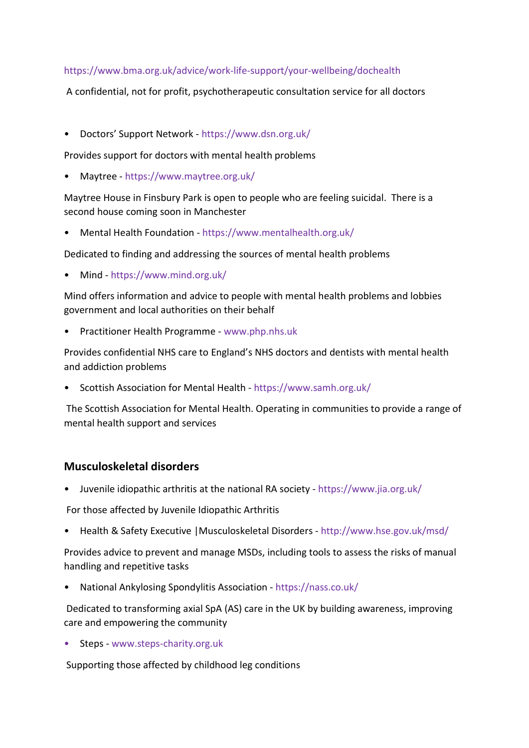#### https://www.bma.org.uk/advice/work-life-support/your-wellbeing/dochealth

A confidential, not for profit, psychotherapeutic consultation service for all doctors

• Doctors' Support Network - https://www.dsn.org.uk/

Provides support for doctors with mental health problems

• Maytree - https://www.maytree.org.uk/

Maytree House in Finsbury Park is open to people who are feeling suicidal. There is a second house coming soon in Manchester

• Mental Health Foundation - https://www.mentalhealth.org.uk/

Dedicated to finding and addressing the sources of mental health problems

• Mind - https://www.mind.org.uk/

Mind offers information and advice to people with mental health problems and lobbies government and local authorities on their behalf

• Practitioner Health Programme - www.php.nhs.uk

Provides confidential NHS care to England's NHS doctors and dentists with mental health and addiction problems

• Scottish Association for Mental Health - https://www.samh.org.uk/

 The Scottish Association for Mental Health. Operating in communities to provide a range of mental health support and services

# Musculoskeletal disorders

• Juvenile idiopathic arthritis at the national RA society - https://www.jia.org.uk/

For those affected by Juvenile Idiopathic Arthritis

• Health & Safety Executive |Musculoskeletal Disorders - http://www.hse.gov.uk/msd/

Provides advice to prevent and manage MSDs, including tools to assess the risks of manual handling and repetitive tasks

• National Ankylosing Spondylitis Association - https://nass.co.uk/

 Dedicated to transforming axial SpA (AS) care in the UK by building awareness, improving care and empowering the community

• Steps - www.steps-charity.org.uk

Supporting those affected by childhood leg conditions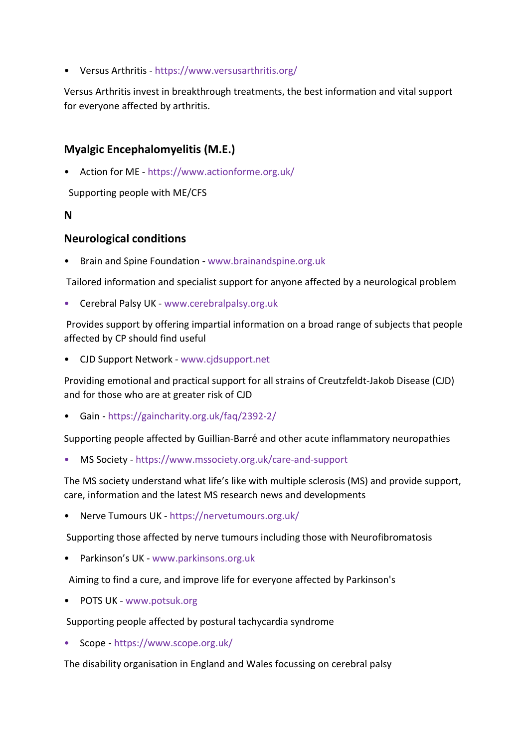• Versus Arthritis - https://www.versusarthritis.org/

Versus Arthritis invest in breakthrough treatments, the best information and vital support for everyone affected by arthritis.

# Myalgic Encephalomyelitis (M.E.)

• Action for ME - https://www.actionforme.org.uk/

Supporting people with ME/CFS

#### N

#### Neurological conditions

• Brain and Spine Foundation - www.brainandspine.org.uk

Tailored information and specialist support for anyone affected by a neurological problem

• Cerebral Palsy UK - www.cerebralpalsy.org.uk

 Provides support by offering impartial information on a broad range of subjects that people affected by CP should find useful

• CJD Support Network - www.cjdsupport.net

Providing emotional and practical support for all strains of Creutzfeldt-Jakob Disease (CJD) and for those who are at greater risk of CJD

• Gain - https://gaincharity.org.uk/faq/2392-2/

Supporting people affected by Guillian-Barré and other acute inflammatory neuropathies

• MS Society - https://www.mssociety.org.uk/care-and-support

The MS society understand what life's like with multiple sclerosis (MS) and provide support, care, information and the latest MS research news and developments

• Nerve Tumours UK - https://nervetumours.org.uk/

Supporting those affected by nerve tumours including those with Neurofibromatosis

• Parkinson's UK - www.parkinsons.org.uk

Aiming to find a cure, and improve life for everyone affected by Parkinson's

• POTS UK - www.potsuk.org

Supporting people affected by postural tachycardia syndrome

• Scope - https://www.scope.org.uk/

The disability organisation in England and Wales focussing on cerebral palsy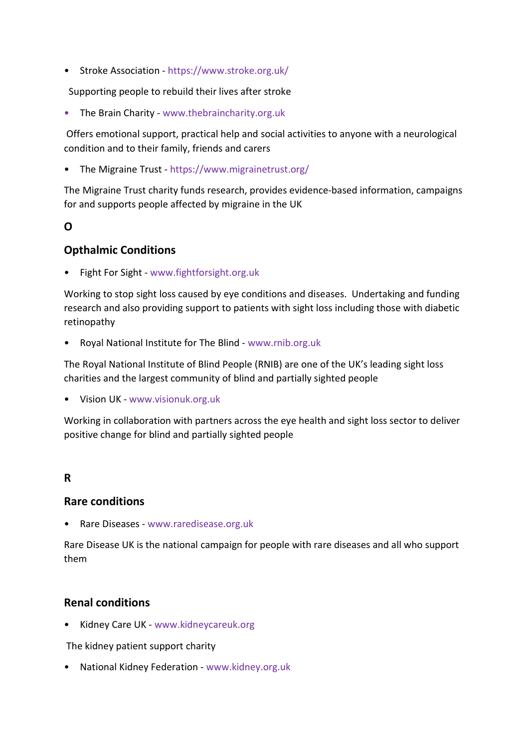• Stroke Association - https://www.stroke.org.uk/

Supporting people to rebuild their lives after stroke

• The Brain Charity - www.thebraincharity.org.uk

 Offers emotional support, practical help and social activities to anyone with a neurological condition and to their family, friends and carers

• The Migraine Trust - https://www.migrainetrust.org/

The Migraine Trust charity funds research, provides evidence-based information, campaigns for and supports people affected by migraine in the UK

#### O

# Opthalmic Conditions

• Fight For Sight - www.fightforsight.org.uk

Working to stop sight loss caused by eye conditions and diseases. Undertaking and funding research and also providing support to patients with sight loss including those with diabetic retinopathy

• Royal National Institute for The Blind - www.rnib.org.uk

The Royal National Institute of Blind People (RNIB) are one of the UK's leading sight loss charities and the largest community of blind and partially sighted people

• Vision UK - www.visionuk.org.uk

Working in collaboration with partners across the eye health and sight loss sector to deliver positive change for blind and partially sighted people

# R

# Rare conditions

• Rare Diseases - www.raredisease.org.uk

Rare Disease UK is the national campaign for people with rare diseases and all who support them

# Renal conditions

• Kidney Care UK - www.kidneycareuk.org

The kidney patient support charity

• National Kidney Federation - www.kidney.org.uk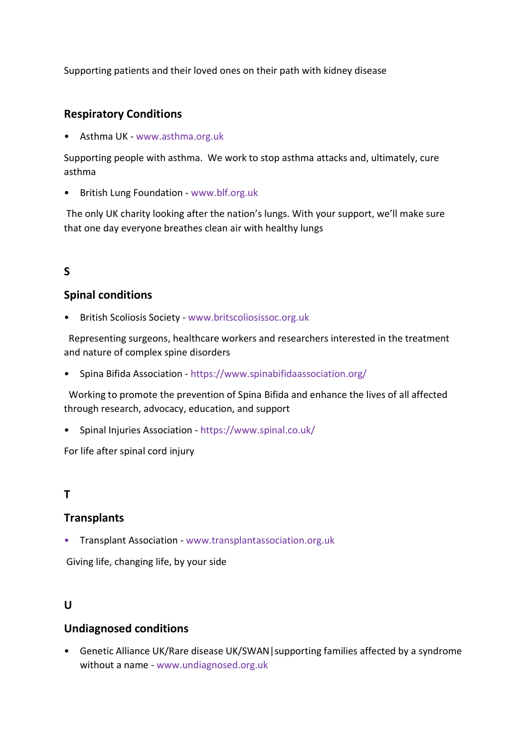Supporting patients and their loved ones on their path with kidney disease

# Respiratory Conditions

• Asthma UK - www.asthma.org.uk

Supporting people with asthma. We work to stop asthma attacks and, ultimately, cure asthma

• British Lung Foundation - www.blf.org.uk

 The only UK charity looking after the nation's lungs. With your support, we'll make sure that one day everyone breathes clean air with healthy lungs

# S

# Spinal conditions

• British Scoliosis Society - www.britscoliosissoc.org.uk

 Representing surgeons, healthcare workers and researchers interested in the treatment and nature of complex spine disorders

• Spina Bifida Association - https://www.spinabifidaassociation.org/

 Working to promote the prevention of Spina Bifida and enhance the lives of all affected through research, advocacy, education, and support

• Spinal Injuries Association - https://www.spinal.co.uk/

For life after spinal cord injury

# T

# **Transplants**

• Transplant Association - www.transplantassociation.org.uk

Giving life, changing life, by your side

# $\mathbf{U}$

# Undiagnosed conditions

• Genetic Alliance UK/Rare disease UK/SWAN|supporting families affected by a syndrome without a name - www.undiagnosed.org.uk